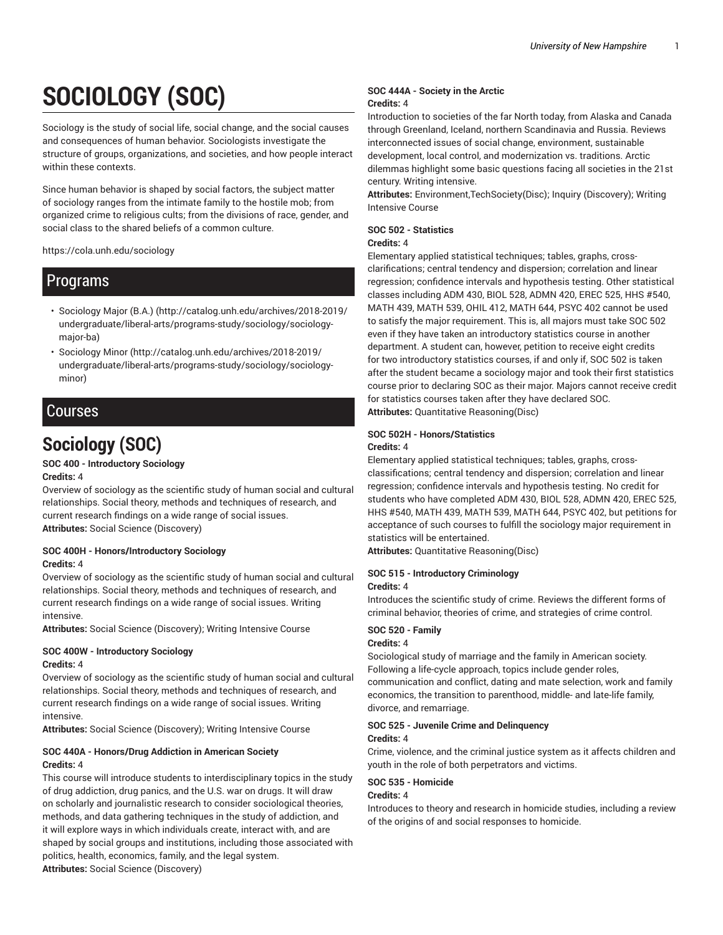# **SOCIOLOGY (SOC)**

Sociology is the study of social life, social change, and the social causes and consequences of human behavior. Sociologists investigate the structure of groups, organizations, and societies, and how people interact within these contexts.

Since human behavior is shaped by social factors, the subject matter of sociology ranges from the intimate family to the hostile mob; from organized crime to religious cults; from the divisions of race, gender, and social class to the shared beliefs of a common culture.

https://cola.unh.edu/sociology

# Programs

- Sociology Major (B.A.) (http://catalog.unh.edu/archives/2018-2019/ undergraduate/liberal-arts/programs-study/sociology/sociologymajor-ba)
- Sociology Minor (http://catalog.unh.edu/archives/2018-2019/ undergraduate/liberal-arts/programs-study/sociology/sociologyminor)

# Courses

# **Sociology (SOC)**

# **SOC 400 - Introductory Sociology**

# **Credits:** 4

Overview of sociology as the scientific study of human social and cultural relationships. Social theory, methods and techniques of research, and current research findings on a wide range of social issues. **Attributes:** Social Science (Discovery)

# **SOC 400H - Honors/Introductory Sociology Credits:** 4

Overview of sociology as the scientific study of human social and cultural relationships. Social theory, methods and techniques of research, and current research findings on a wide range of social issues. Writing intensive.

**Attributes:** Social Science (Discovery); Writing Intensive Course

### **SOC 400W - Introductory Sociology Credits:** 4

Overview of sociology as the scientific study of human social and cultural relationships. Social theory, methods and techniques of research, and current research findings on a wide range of social issues. Writing intensive.

**Attributes:** Social Science (Discovery); Writing Intensive Course

# **SOC 440A - Honors/Drug Addiction in American Society Credits:** 4

This course will introduce students to interdisciplinary topics in the study of drug addiction, drug panics, and the U.S. war on drugs. It will draw on scholarly and journalistic research to consider sociological theories, methods, and data gathering techniques in the study of addiction, and it will explore ways in which individuals create, interact with, and are shaped by social groups and institutions, including those associated with politics, health, economics, family, and the legal system. **Attributes:** Social Science (Discovery)

### **SOC 444A - Society in the Arctic Credits:** 4

Introduction to societies of the far North today, from Alaska and Canada through Greenland, Iceland, northern Scandinavia and Russia. Reviews interconnected issues of social change, environment, sustainable development, local control, and modernization vs. traditions. Arctic dilemmas highlight some basic questions facing all societies in the 21st century. Writing intensive.

**Attributes:** Environment,TechSociety(Disc); Inquiry (Discovery); Writing Intensive Course

# **SOC 502 - Statistics**

# **Credits:** 4

Elementary applied statistical techniques; tables, graphs, crossclarifications; central tendency and dispersion; correlation and linear regression; confidence intervals and hypothesis testing. Other statistical classes including ADM 430, BIOL 528, ADMN 420, EREC 525, HHS #540, MATH 439, MATH 539, OHIL 412, MATH 644, PSYC 402 cannot be used to satisfy the major requirement. This is, all majors must take SOC 502 even if they have taken an introductory statistics course in another department. A student can, however, petition to receive eight credits for two introductory statistics courses, if and only if, SOC 502 is taken after the student became a sociology major and took their first statistics course prior to declaring SOC as their major. Majors cannot receive credit for statistics courses taken after they have declared SOC. **Attributes:** Quantitative Reasoning(Disc)

# **SOC 502H - Honors/Statistics**

### **Credits:** 4

Elementary applied statistical techniques; tables, graphs, crossclassifications; central tendency and dispersion; correlation and linear regression; confidence intervals and hypothesis testing. No credit for students who have completed ADM 430, BIOL 528, ADMN 420, EREC 525, HHS #540, MATH 439, MATH 539, MATH 644, PSYC 402, but petitions for acceptance of such courses to fulfill the sociology major requirement in statistics will be entertained.

**Attributes:** Quantitative Reasoning(Disc)

### **SOC 515 - Introductory Criminology Credits:** 4

Introduces the scientific study of crime. Reviews the different forms of criminal behavior, theories of crime, and strategies of crime control.

### **SOC 520 - Family**

### **Credits:** 4

Sociological study of marriage and the family in American society. Following a life-cycle approach, topics include gender roles, communication and conflict, dating and mate selection, work and family economics, the transition to parenthood, middle- and late-life family, divorce, and remarriage.

### **SOC 525 - Juvenile Crime and Delinquency**

### **Credits:** 4

Crime, violence, and the criminal justice system as it affects children and youth in the role of both perpetrators and victims.

# **SOC 535 - Homicide**

### **Credits:** 4

Introduces to theory and research in homicide studies, including a review of the origins of and social responses to homicide.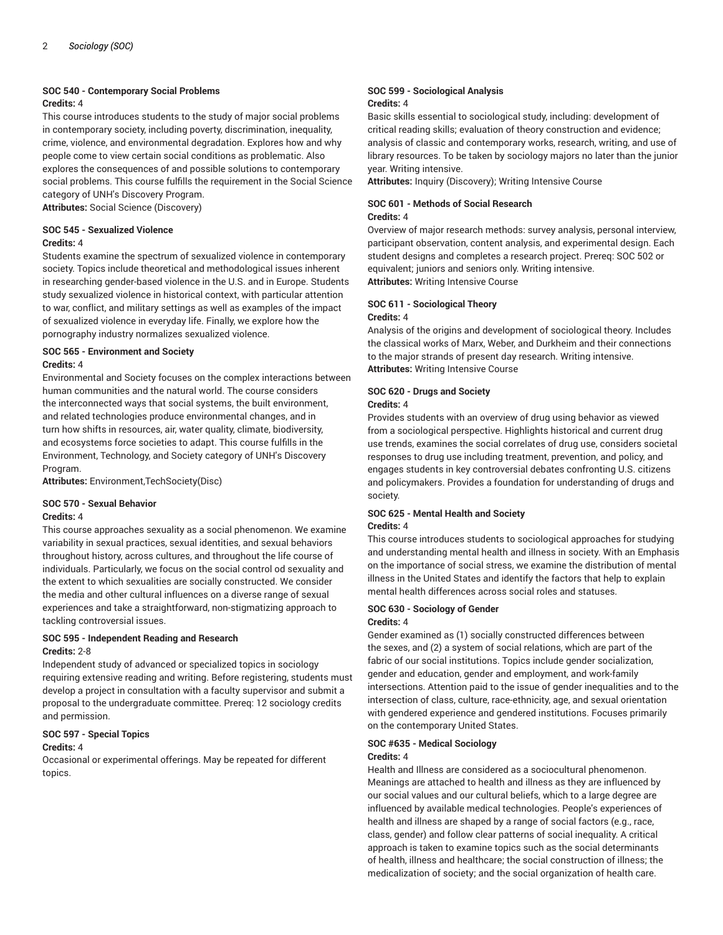### **SOC 540 - Contemporary Social Problems Credits:** 4

This course introduces students to the study of major social problems in contemporary society, including poverty, discrimination, inequality, crime, violence, and environmental degradation. Explores how and why people come to view certain social conditions as problematic. Also explores the consequences of and possible solutions to contemporary social problems. This course fulfills the requirement in the Social Science category of UNH's Discovery Program. **Attributes:** Social Science (Discovery)

### **SOC 545 - Sexualized Violence Credits:** 4

Students examine the spectrum of sexualized violence in contemporary society. Topics include theoretical and methodological issues inherent in researching gender-based violence in the U.S. and in Europe. Students study sexualized violence in historical context, with particular attention to war, conflict, and military settings as well as examples of the impact of sexualized violence in everyday life. Finally, we explore how the pornography industry normalizes sexualized violence.

### **SOC 565 - Environment and Society Credits:** 4

Environmental and Society focuses on the complex interactions between human communities and the natural world. The course considers the interconnected ways that social systems, the built environment, and related technologies produce environmental changes, and in turn how shifts in resources, air, water quality, climate, biodiversity, and ecosystems force societies to adapt. This course fulfills in the Environment, Technology, and Society category of UNH's Discovery Program.

**Attributes:** Environment,TechSociety(Disc)

# **SOC 570 - Sexual Behavior**

# **Credits:** 4

This course approaches sexuality as a social phenomenon. We examine variability in sexual practices, sexual identities, and sexual behaviors throughout history, across cultures, and throughout the life course of individuals. Particularly, we focus on the social control od sexuality and the extent to which sexualities are socially constructed. We consider the media and other cultural influences on a diverse range of sexual experiences and take a straightforward, non-stigmatizing approach to tackling controversial issues.

# **SOC 595 - Independent Reading and Research Credits:** 2-8

Independent study of advanced or specialized topics in sociology requiring extensive reading and writing. Before registering, students must develop a project in consultation with a faculty supervisor and submit a proposal to the undergraduate committee. Prereq: 12 sociology credits and permission.

# **SOC 597 - Special Topics**

### **Credits:** 4

Occasional or experimental offerings. May be repeated for different topics.

### **SOC 599 - Sociological Analysis Credits:** 4

Basic skills essential to sociological study, including: development of critical reading skills; evaluation of theory construction and evidence; analysis of classic and contemporary works, research, writing, and use of library resources. To be taken by sociology majors no later than the junior year. Writing intensive.

**Attributes:** Inquiry (Discovery); Writing Intensive Course

# **SOC 601 - Methods of Social Research**

# **Credits:** 4

Overview of major research methods: survey analysis, personal interview, participant observation, content analysis, and experimental design. Each student designs and completes a research project. Prereq: SOC 502 or equivalent; juniors and seniors only. Writing intensive. **Attributes:** Writing Intensive Course

### **SOC 611 - Sociological Theory Credits:** 4

Analysis of the origins and development of sociological theory. Includes the classical works of Marx, Weber, and Durkheim and their connections to the major strands of present day research. Writing intensive. **Attributes:** Writing Intensive Course

# **SOC 620 - Drugs and Society**

# **Credits:** 4

Provides students with an overview of drug using behavior as viewed from a sociological perspective. Highlights historical and current drug use trends, examines the social correlates of drug use, considers societal responses to drug use including treatment, prevention, and policy, and engages students in key controversial debates confronting U.S. citizens and policymakers. Provides a foundation for understanding of drugs and society.

### **SOC 625 - Mental Health and Society Credits:** 4

This course introduces students to sociological approaches for studying and understanding mental health and illness in society. With an Emphasis on the importance of social stress, we examine the distribution of mental illness in the United States and identify the factors that help to explain mental health differences across social roles and statuses.

# **SOC 630 - Sociology of Gender Credits:** 4

Gender examined as (1) socially constructed differences between the sexes, and (2) a system of social relations, which are part of the fabric of our social institutions. Topics include gender socialization, gender and education, gender and employment, and work-family intersections. Attention paid to the issue of gender inequalities and to the intersection of class, culture, race-ethnicity, age, and sexual orientation with gendered experience and gendered institutions. Focuses primarily on the contemporary United States.

# **SOC #635 - Medical Sociology**

# **Credits:** 4

Health and Illness are considered as a sociocultural phenomenon. Meanings are attached to health and illness as they are influenced by our social values and our cultural beliefs, which to a large degree are influenced by available medical technologies. People's experiences of health and illness are shaped by a range of social factors (e.g., race, class, gender) and follow clear patterns of social inequality. A critical approach is taken to examine topics such as the social determinants of health, illness and healthcare; the social construction of illness; the medicalization of society; and the social organization of health care.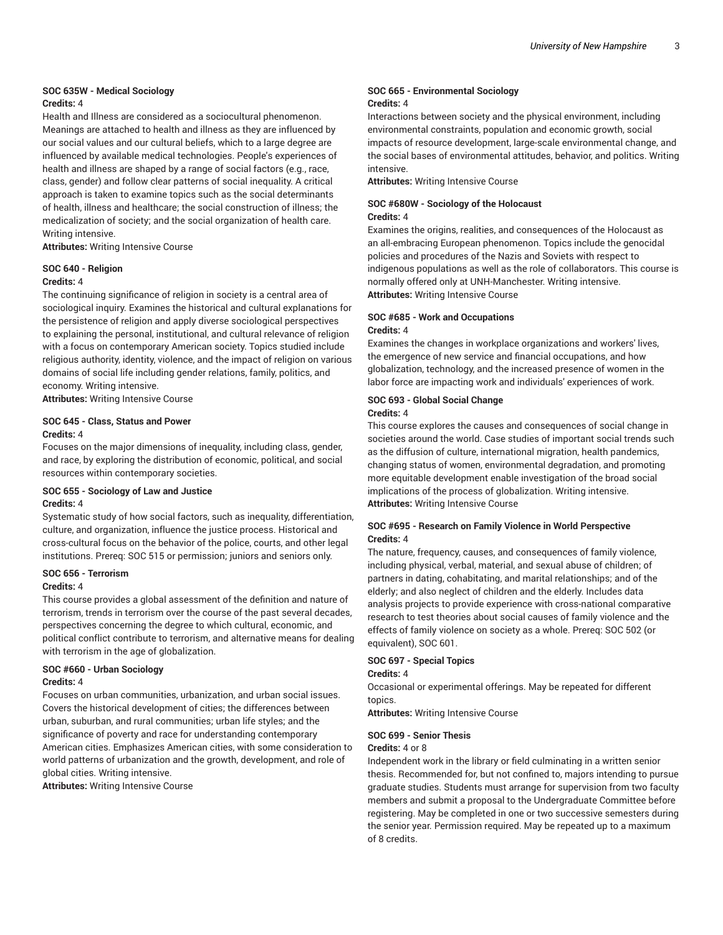### **SOC 635W - Medical Sociology Credits:** 4

Health and Illness are considered as a sociocultural phenomenon. Meanings are attached to health and illness as they are influenced by our social values and our cultural beliefs, which to a large degree are influenced by available medical technologies. People's experiences of health and illness are shaped by a range of social factors (e.g., race, class, gender) and follow clear patterns of social inequality. A critical approach is taken to examine topics such as the social determinants of health, illness and healthcare; the social construction of illness; the medicalization of society; and the social organization of health care. Writing intensive.

**Attributes:** Writing Intensive Course

#### **SOC 640 - Religion Credits:** 4

The continuing significance of religion in society is a central area of sociological inquiry. Examines the historical and cultural explanations for the persistence of religion and apply diverse sociological perspectives to explaining the personal, institutional, and cultural relevance of religion with a focus on contemporary American society. Topics studied include religious authority, identity, violence, and the impact of religion on various domains of social life including gender relations, family, politics, and economy. Writing intensive.

**Attributes:** Writing Intensive Course

### **SOC 645 - Class, Status and Power Credits:** 4

Focuses on the major dimensions of inequality, including class, gender, and race, by exploring the distribution of economic, political, and social resources within contemporary societies.

# **SOC 655 - Sociology of Law and Justice Credits:** 4

Systematic study of how social factors, such as inequality, differentiation, culture, and organization, influence the justice process. Historical and cross-cultural focus on the behavior of the police, courts, and other legal institutions. Prereq: SOC 515 or permission; juniors and seniors only.

# **SOC 656 - Terrorism**

# **Credits:** 4

This course provides a global assessment of the definition and nature of terrorism, trends in terrorism over the course of the past several decades, perspectives concerning the degree to which cultural, economic, and political conflict contribute to terrorism, and alternative means for dealing with terrorism in the age of globalization.

#### **SOC #660 - Urban Sociology Credits:** 4

Focuses on urban communities, urbanization, and urban social issues. Covers the historical development of cities; the differences between urban, suburban, and rural communities; urban life styles; and the significance of poverty and race for understanding contemporary American cities. Emphasizes American cities, with some consideration to world patterns of urbanization and the growth, development, and role of global cities. Writing intensive.

**Attributes:** Writing Intensive Course

### **SOC 665 - Environmental Sociology Credits:** 4

Interactions between society and the physical environment, including environmental constraints, population and economic growth, social impacts of resource development, large-scale environmental change, and the social bases of environmental attitudes, behavior, and politics. Writing intensive.

**Attributes:** Writing Intensive Course

### **SOC #680W - Sociology of the Holocaust Credits:** 4

Examines the origins, realities, and consequences of the Holocaust as an all-embracing European phenomenon. Topics include the genocidal policies and procedures of the Nazis and Soviets with respect to indigenous populations as well as the role of collaborators. This course is normally offered only at UNH-Manchester. Writing intensive. **Attributes:** Writing Intensive Course

# **SOC #685 - Work and Occupations**

#### **Credits:** 4

Examines the changes in workplace organizations and workers' lives, the emergence of new service and financial occupations, and how globalization, technology, and the increased presence of women in the labor force are impacting work and individuals' experiences of work.

#### **SOC 693 - Global Social Change Credits:** 4

This course explores the causes and consequences of social change in societies around the world. Case studies of important social trends such as the diffusion of culture, international migration, health pandemics, changing status of women, environmental degradation, and promoting more equitable development enable investigation of the broad social implications of the process of globalization. Writing intensive. **Attributes:** Writing Intensive Course

### **SOC #695 - Research on Family Violence in World Perspective Credits:** 4

The nature, frequency, causes, and consequences of family violence, including physical, verbal, material, and sexual abuse of children; of partners in dating, cohabitating, and marital relationships; and of the elderly; and also neglect of children and the elderly. Includes data analysis projects to provide experience with cross-national comparative research to test theories about social causes of family violence and the effects of family violence on society as a whole. Prereq: SOC 502 (or equivalent), SOC 601.

### **SOC 697 - Special Topics**

#### **Credits:** 4

Occasional or experimental offerings. May be repeated for different topics.

**Attributes:** Writing Intensive Course

### **SOC 699 - Senior Thesis**

#### **Credits:** 4 or 8

Independent work in the library or field culminating in a written senior thesis. Recommended for, but not confined to, majors intending to pursue graduate studies. Students must arrange for supervision from two faculty members and submit a proposal to the Undergraduate Committee before registering. May be completed in one or two successive semesters during the senior year. Permission required. May be repeated up to a maximum of 8 credits.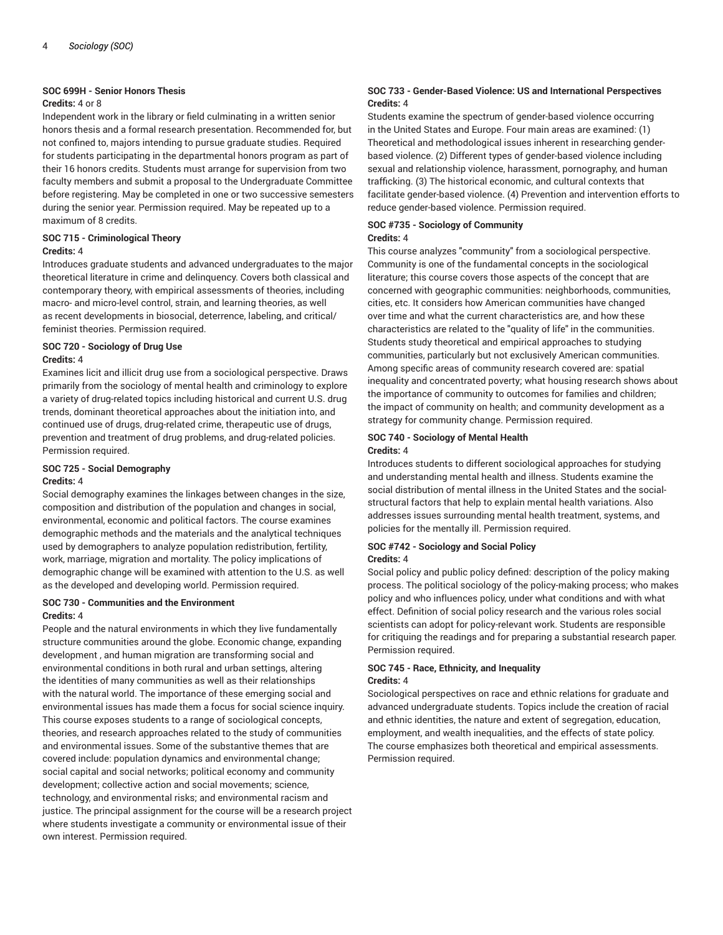### **SOC 699H - Senior Honors Thesis**

#### **Credits:** 4 or 8

Independent work in the library or field culminating in a written senior honors thesis and a formal research presentation. Recommended for, but not confined to, majors intending to pursue graduate studies. Required for students participating in the departmental honors program as part of their 16 honors credits. Students must arrange for supervision from two faculty members and submit a proposal to the Undergraduate Committee before registering. May be completed in one or two successive semesters during the senior year. Permission required. May be repeated up to a maximum of 8 credits.

# **SOC 715 - Criminological Theory**

#### **Credits:** 4

Introduces graduate students and advanced undergraduates to the major theoretical literature in crime and delinquency. Covers both classical and contemporary theory, with empirical assessments of theories, including macro- and micro-level control, strain, and learning theories, as well as recent developments in biosocial, deterrence, labeling, and critical/ feminist theories. Permission required.

### **SOC 720 - Sociology of Drug Use Credits:** 4

Examines licit and illicit drug use from a sociological perspective. Draws primarily from the sociology of mental health and criminology to explore a variety of drug-related topics including historical and current U.S. drug trends, dominant theoretical approaches about the initiation into, and continued use of drugs, drug-related crime, therapeutic use of drugs, prevention and treatment of drug problems, and drug-related policies. Permission required.

# **SOC 725 - Social Demography**

# **Credits:** 4

Social demography examines the linkages between changes in the size, composition and distribution of the population and changes in social, environmental, economic and political factors. The course examines demographic methods and the materials and the analytical techniques used by demographers to analyze population redistribution, fertility, work, marriage, migration and mortality. The policy implications of demographic change will be examined with attention to the U.S. as well as the developed and developing world. Permission required.

# **SOC 730 - Communities and the Environment Credits:** 4

People and the natural environments in which they live fundamentally structure communities around the globe. Economic change, expanding development , and human migration are transforming social and environmental conditions in both rural and urban settings, altering the identities of many communities as well as their relationships with the natural world. The importance of these emerging social and environmental issues has made them a focus for social science inquiry. This course exposes students to a range of sociological concepts, theories, and research approaches related to the study of communities and environmental issues. Some of the substantive themes that are covered include: population dynamics and environmental change; social capital and social networks; political economy and community development; collective action and social movements; science, technology, and environmental risks; and environmental racism and justice. The principal assignment for the course will be a research project where students investigate a community or environmental issue of their own interest. Permission required.

### **SOC 733 - Gender-Based Violence: US and International Perspectives Credits:** 4

Students examine the spectrum of gender-based violence occurring in the United States and Europe. Four main areas are examined: (1) Theoretical and methodological issues inherent in researching genderbased violence. (2) Different types of gender-based violence including sexual and relationship violence, harassment, pornography, and human trafficking. (3) The historical economic, and cultural contexts that facilitate gender-based violence. (4) Prevention and intervention efforts to reduce gender-based violence. Permission required.

# **SOC #735 - Sociology of Community**

# **Credits:** 4

This course analyzes "community" from a sociological perspective. Community is one of the fundamental concepts in the sociological literature; this course covers those aspects of the concept that are concerned with geographic communities: neighborhoods, communities, cities, etc. It considers how American communities have changed over time and what the current characteristics are, and how these characteristics are related to the "quality of life" in the communities. Students study theoretical and empirical approaches to studying communities, particularly but not exclusively American communities. Among specific areas of community research covered are: spatial inequality and concentrated poverty; what housing research shows about the importance of community to outcomes for families and children; the impact of community on health; and community development as a strategy for community change. Permission required.

### **SOC 740 - Sociology of Mental Health Credits:** 4

Introduces students to different sociological approaches for studying and understanding mental health and illness. Students examine the social distribution of mental illness in the United States and the socialstructural factors that help to explain mental health variations. Also addresses issues surrounding mental health treatment, systems, and policies for the mentally ill. Permission required.

# **SOC #742 - Sociology and Social Policy Credits:** 4

Social policy and public policy defined: description of the policy making process. The political sociology of the policy-making process; who makes policy and who influences policy, under what conditions and with what effect. Definition of social policy research and the various roles social scientists can adopt for policy-relevant work. Students are responsible for critiquing the readings and for preparing a substantial research paper. Permission required.

### **SOC 745 - Race, Ethnicity, and Inequality Credits:** 4

Sociological perspectives on race and ethnic relations for graduate and advanced undergraduate students. Topics include the creation of racial and ethnic identities, the nature and extent of segregation, education, employment, and wealth inequalities, and the effects of state policy. The course emphasizes both theoretical and empirical assessments. Permission required.